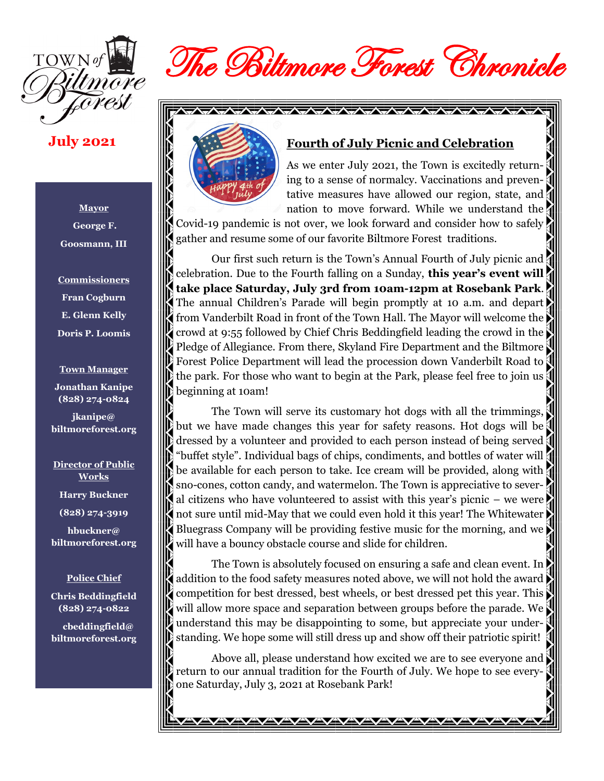

# The Biltmore Forest Chronicle

#### **July 2021**

**Mayor George F. Goosmann, III**

**Commissioners Fran Cogburn E. Glenn Kelly Doris P. Loomis**

**Town Manager Jonathan Kanipe (828) 274-0824**

**jkanipe@ biltmoreforest.org**

**Director of Public Works Harry Buckner (828) 274-3919**

**hbuckner@ biltmoreforest.org**

#### **Police Chief**

**Chris Beddingfield (828) 274-0822**

 **cbeddingfield@ biltmoreforest.org**



#### **Fourth of July Picnic and Celebration**

As we enter July 2021, the Town is excitedly returning to a sense of normalcy. Vaccinations and preventative measures have allowed our region, state, and nation to move forward. While we understand the

Covid-19 pandemic is not over, we look forward and consider how to safely gather and resume some of our favorite Biltmore Forest traditions.

Our first such return is the Town's Annual Fourth of July picnic and celebration. Due to the Fourth falling on a Sunday, **this year's event will take place Saturday, July 3rd from 10am-12pm at Rosebank Park**. The annual Children's Parade will begin promptly at 10 a.m. and depart from Vanderbilt Road in front of the Town Hall. The Mayor will welcome the crowd at 9:55 followed by Chief Chris Beddingfield leading the crowd in the Pledge of Allegiance. From there, Skyland Fire Department and the Biltmore Forest Police Department will lead the procession down Vanderbilt Road to the park. For those who want to begin at the Park, please feel free to join us beginning at 10am!

The Town will serve its customary hot dogs with all the trimmings, but we have made changes this year for safety reasons. Hot dogs will be dressed by a volunteer and provided to each person instead of being served "buffet style". Individual bags of chips, condiments, and bottles of water will be available for each person to take. Ice cream will be provided, along with sno-cones, cotton candy, and watermelon. The Town is appreciative to several citizens who have volunteered to assist with this year's picnic – we were not sure until mid-May that we could even hold it this year! The Whitewater Bluegrass Company will be providing festive music for the morning, and we will have a bouncy obstacle course and slide for children.

The Town is absolutely focused on ensuring a safe and clean event. In addition to the food safety measures noted above, we will not hold the award competition for best dressed, best wheels, or best dressed pet this year. This will allow more space and separation between groups before the parade. We understand this may be disappointing to some, but appreciate your understanding. We hope some will still dress up and show off their patriotic spirit!

Above all, please understand how excited we are to see everyone and return to our annual tradition for the Fourth of July. We hope to see everyone Saturday, July 3, 2021 at Rosebank Park!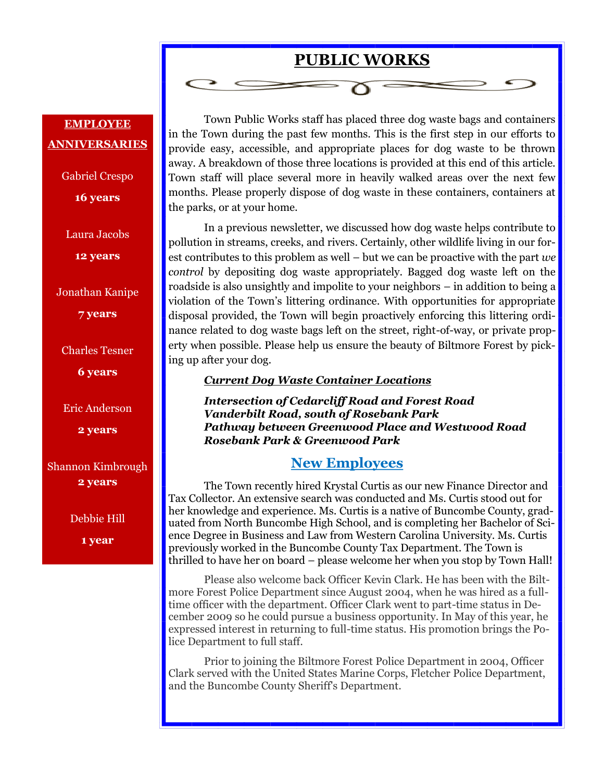# **PUBLIC WORKS**

## **EMPLOYEE ANNIVERSARIES**

Gabriel Crespo **16 years**

Laura Jacobs

**12 years**

Jonathan Kanipe

**7 years**

Charles Tesner

**6 years**

Eric Anderson

**2 years**

Shannon Kimbrough **2 years**

Debbie Hill

**1 year**

Town Public Works staff has placed three dog waste bags and containers in the Town during the past few months. This is the first step in our efforts to provide easy, accessible, and appropriate places for dog waste to be thrown away. A breakdown of those three locations is provided at this end of this article. Town staff will place several more in heavily walked areas over the next few months. Please properly dispose of dog waste in these containers, containers at the parks, or at your home.

In a previous newsletter, we discussed how dog waste helps contribute to pollution in streams, creeks, and rivers. Certainly, other wildlife living in our forest contributes to this problem as well – but we can be proactive with the part *we control* by depositing dog waste appropriately. Bagged dog waste left on the roadside is also unsightly and impolite to your neighbors – in addition to being a violation of the Town's littering ordinance. With opportunities for appropriate disposal provided, the Town will begin proactively enforcing this littering ordinance related to dog waste bags left on the street, right-of-way, or private property when possible. Please help us ensure the beauty of Biltmore Forest by picking up after your dog.

#### *Current Dog Waste Container Locations*

*Intersection of Cedarcliff Road and Forest Road Vanderbilt Road, south of Rosebank Park Pathway between Greenwood Place and Westwood Road Rosebank Park & Greenwood Park*

#### **New Employees**

The Town recently hired Krystal Curtis as our new Finance Director and Tax Collector. An extensive search was conducted and Ms. Curtis stood out for her knowledge and experience. Ms. Curtis is a native of Buncombe County, graduated from North Buncombe High School, and is completing her Bachelor of Science Degree in Business and Law from Western Carolina University. Ms. Curtis previously worked in the Buncombe County Tax Department. The Town is thrilled to have her on board – please welcome her when you stop by Town Hall!

Please also welcome back Officer Kevin Clark. He has been with the Biltmore Forest Police Department since August 2004, when he was hired as a fulltime officer with the department. Officer Clark went to part-time status in December 2009 so he could pursue a business opportunity. In May of this year, he expressed interest in returning to full-time status. His promotion brings the Police Department to full staff.

Prior to joining the Biltmore Forest Police Department in 2004, Officer Clark served with the United States Marine Corps, Fletcher Police Department, and the Buncombe County Sheriff's Department.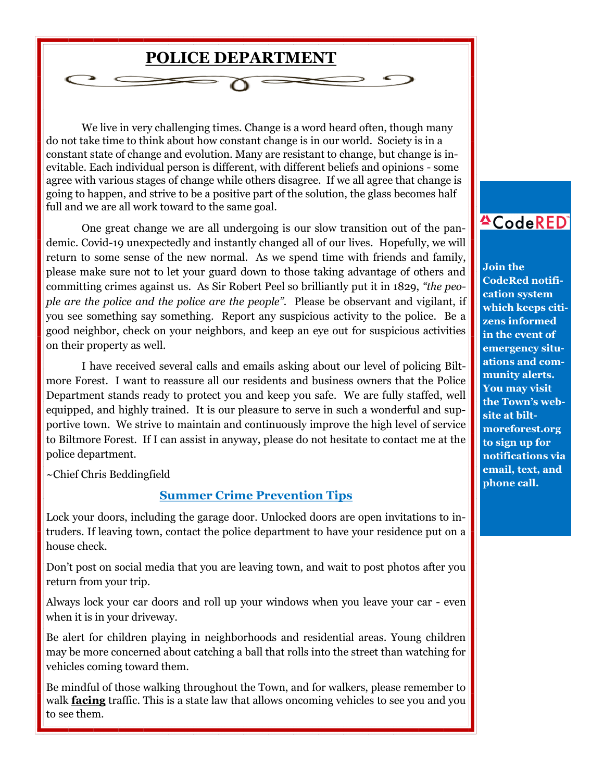

We live in very challenging times. Change is a word heard often, though many do not take time to think about how constant change is in our world. Society is in a constant state of change and evolution. Many are resistant to change, but change is inevitable. Each individual person is different, with different beliefs and opinions - some agree with various stages of change while others disagree. If we all agree that change is going to happen, and strive to be a positive part of the solution, the glass becomes half full and we are all work toward to the same goal.

One great change we are all undergoing is our slow transition out of the pandemic. Covid-19 unexpectedly and instantly changed all of our lives. Hopefully, we will return to some sense of the new normal. As we spend time with friends and family, please make sure not to let your guard down to those taking advantage of others and committing crimes against us. As Sir Robert Peel so brilliantly put it in 1829, *"the people are the police and the police are the people".* Please be observant and vigilant, if you see something say something. Report any suspicious activity to the police. Be a good neighbor, check on your neighbors, and keep an eye out for suspicious activities on their property as well.

I have received several calls and emails asking about our level of policing Biltmore Forest. I want to reassure all our residents and business owners that the Police Department stands ready to protect you and keep you safe. We are fully staffed, well equipped, and highly trained. It is our pleasure to serve in such a wonderful and supportive town. We strive to maintain and continuously improve the high level of service to Biltmore Forest. If I can assist in anyway, please do not hesitate to contact me at the police department.

~Chief Chris Beddingfield

#### **Summer Crime Prevention Tips**

Lock your doors, including the garage door. Unlocked doors are open invitations to intruders. If leaving town, contact the police department to have your residence put on a house check.

Don't post on social media that you are leaving town, and wait to post photos after you return from your trip.

Always lock your car doors and roll up your windows when you leave your car - even when it is in your driveway.

Be alert for children playing in neighborhoods and residential areas. Young children may be more concerned about catching a ball that rolls into the street than watching for vehicles coming toward them.

Be mindful of those walking throughout the Town, and for walkers, please remember to walk **facing** traffic. This is a state law that allows oncoming vehicles to see you and you to see them.

# **ACodeRED**

**Join the CodeRed notification system which keeps citizens informed in the event of emergency situations and community alerts. You may visit the Town's website at biltmoreforest.org to sign up for notifications via email, text, and phone call.**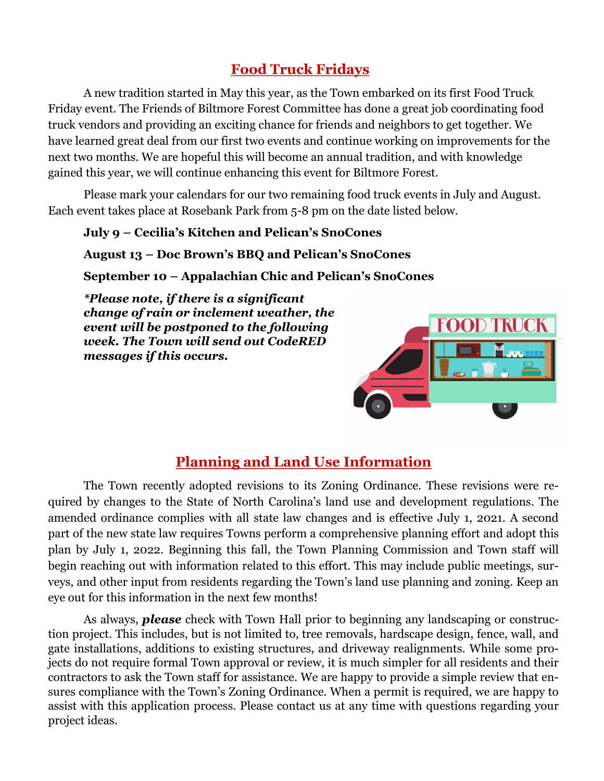# **Food Truck Fridays**

A new tradition started in May this year, as the Town embarked on its first Food Truck Friday event. The Friends of Biltmore Forest Committee has done a great job coordinating food truck vendors and providing an exciting chance for friends and neighbors to get together. We have learned great deal from our first two events and continue working on improvements for the next two months. We are hopeful this will become an annual tradition, and with knowledge gained this year, we will continue enhancing this event for Biltmore Forest.

Please mark your calendars for our two remaining food truck events in July and August. Each event takes place at Rosebank Park from 5-8 pm on the date listed below.

#### **July 9 – Cecilia's Kitchen and Pelican's SnoCones**

#### **August 13 – Doc Brown's BBQ and Pelican's SnoCones**

**September 10 – Appalachian Chic and Pelican's SnoCones**

*\*Please note, if there is a significant change of rain or inclement weather, the event will be postponed to the following week. The Town will send out CodeRED messages if this occurs.*



## **Planning and Land Use Information**

The Town recently adopted revisions to its Zoning Ordinance. These revisions were required by changes to the State of North Carolina's land use and development regulations. The amended ordinance complies with all state law changes and is effective July 1, 2021. A second part of the new state law requires Towns perform a comprehensive planning effort and adopt this plan by July 1, 2022. Beginning this fall, the Town Planning Commission and Town staff will begin reaching out with information related to this effort. This may include public meetings, surveys, and other input from residents regarding the Town's land use planning and zoning. Keep an eye out for this information in the next few months!

As always, *please* check with Town Hall prior to beginning any landscaping or construction project. This includes, but is not limited to, tree removals, hardscape design, fence, wall, and gate installations, additions to existing structures, and driveway realignments. While some projects do not require formal Town approval or review, it is much simpler for all residents and their contractors to ask the Town staff for assistance. We are happy to provide a simple review that ensures compliance with the Town's Zoning Ordinance. When a permit is required, we are happy to assist with this application process. Please contact us at any time with questions regarding your project ideas.